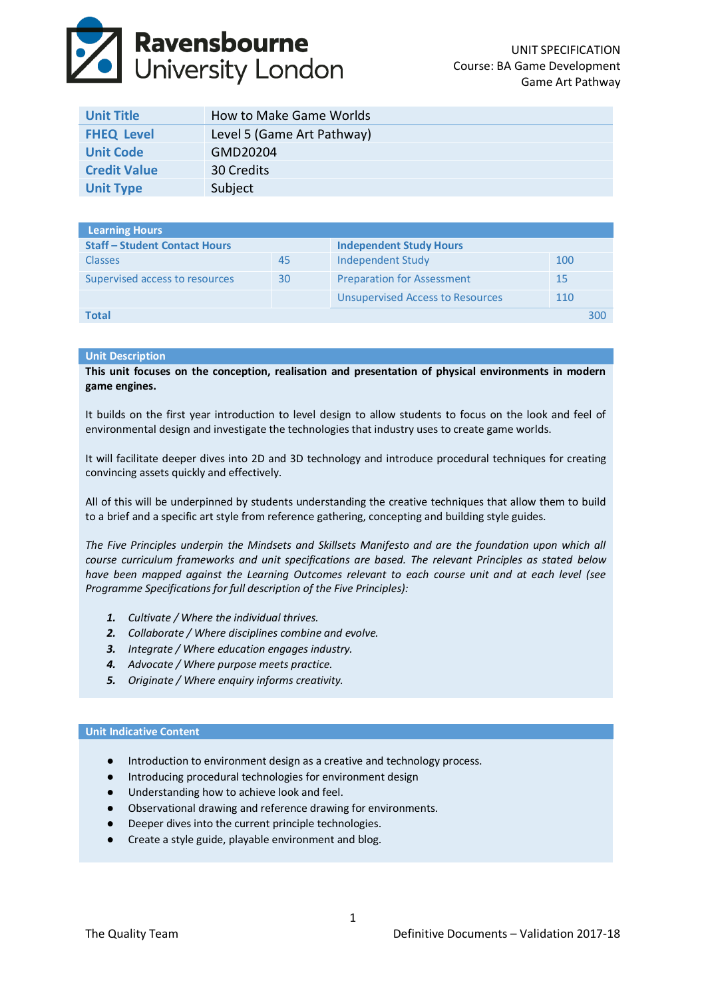# **Ravensbourne**<br>University London

| Unit Title          | How to Make Game Worlds    |
|---------------------|----------------------------|
| <b>FHEQ Level</b>   | Level 5 (Game Art Pathway) |
| <b>Unit Code</b>    | GMD20204                   |
| <b>Credit Value</b> | 30 Credits                 |
| <b>Unit Type</b>    | Subject                    |

| <b>Learning Hours</b>                |    |                                         |     |     |
|--------------------------------------|----|-----------------------------------------|-----|-----|
| <b>Staff - Student Contact Hours</b> |    | <b>Independent Study Hours</b>          |     |     |
| <b>Classes</b>                       | 45 | Independent Study                       | 100 |     |
| Supervised access to resources       | 30 | <b>Preparation for Assessment</b>       | 15  |     |
|                                      |    | <b>Unsupervised Access to Resources</b> | 110 |     |
| Total                                |    |                                         |     | 300 |

# **Unit Description**

**This unit focuses on the conception, realisation and presentation of physical environments in modern game engines.**

It builds on the first year introduction to level design to allow students to focus on the look and feel of environmental design and investigate the technologies that industry uses to create game worlds.

It will facilitate deeper dives into 2D and 3D technology and introduce procedural techniques for creating convincing assets quickly and effectively.

All of this will be underpinned by students understanding the creative techniques that allow them to build to a brief and a specific art style from reference gathering, concepting and building style guides.

*The Five Principles underpin the Mindsets and Skillsets Manifesto and are the foundation upon which all course curriculum frameworks and unit specifications are based. The relevant Principles as stated below have been mapped against the Learning Outcomes relevant to each course unit and at each level (see Programme Specifications for full description of the Five Principles):*

- *1. Cultivate / Where the individual thrives.*
- *2. Collaborate / Where disciplines combine and evolve.*
- *3. Integrate / Where education engages industry.*
- *4. Advocate / Where purpose meets practice.*
- *5. Originate / Where enquiry informs creativity.*

### **Unit Indicative Content**

- Introduction to environment design as a creative and technology process.
- Introducing procedural technologies for environment design
- Understanding how to achieve look and feel.
- Observational drawing and reference drawing for environments.
- Deeper dives into the current principle technologies.
- Create a style guide, playable environment and blog.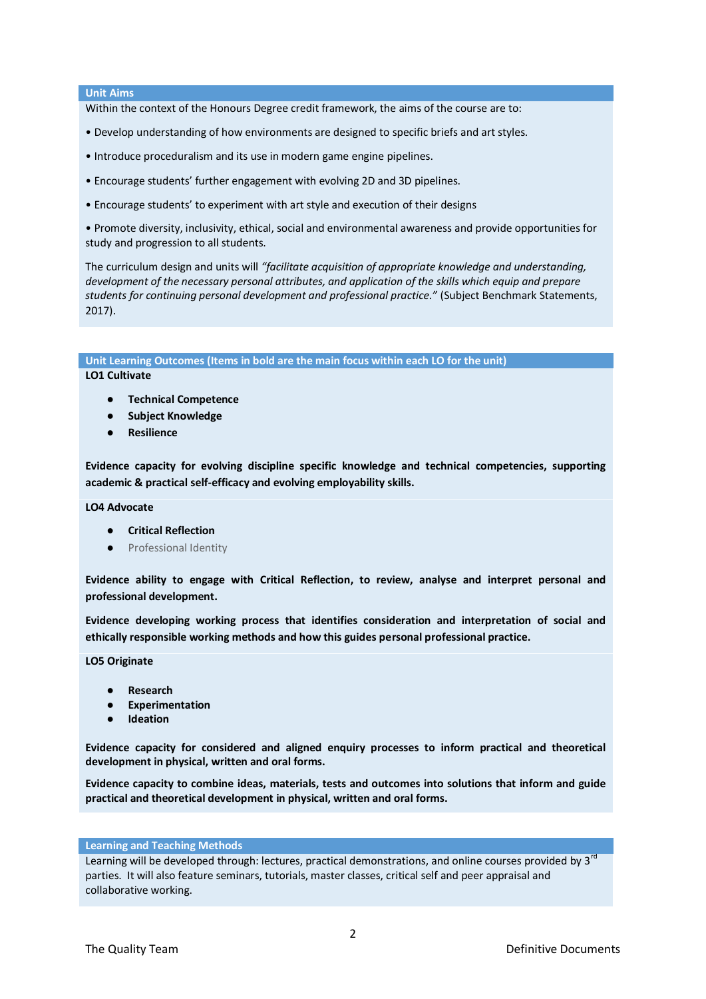## **Unit Aims**

Within the context of the Honours Degree credit framework, the aims of the course are to:

- Develop understanding of how environments are designed to specific briefs and art styles.
- Introduce proceduralism and its use in modern game engine pipelines.
- Encourage students' further engagement with evolving 2D and 3D pipelines.
- Encourage students' to experiment with art style and execution of their designs

• Promote diversity, inclusivity, ethical, social and environmental awareness and provide opportunities for study and progression to all students.

The curriculum design and units will *"facilitate acquisition of appropriate knowledge and understanding, development of the necessary personal attributes, and application of the skills which equip and prepare students for continuing personal development and professional practice."* (Subject Benchmark Statements, 2017).

**Unit Learning Outcomes (Items in bold are the main focus within each LO for the unit)**

**LO1 Cultivate**

- **Technical Competence**
- **Subject Knowledge**
- **Resilience**

**Evidence capacity for evolving discipline specific knowledge and technical competencies, supporting academic & practical self-efficacy and evolving employability skills.**

**LO4 Advocate**

- **Critical Reflection**
- Professional Identity

**Evidence ability to engage with Critical Reflection, to review, analyse and interpret personal and professional development.**

**Evidence developing working process that identifies consideration and interpretation of social and ethically responsible working methods and how this guides personal professional practice.**

**LO5 Originate**

- **Research**
- **Experimentation**
- **Ideation**

**Evidence capacity for considered and aligned enquiry processes to inform practical and theoretical development in physical, written and oral forms.**

**Evidence capacity to combine ideas, materials, tests and outcomes into solutions that inform and guide practical and theoretical development in physical, written and oral forms.**

#### **Learning and Teaching Methods**

Learning will be developed through: lectures, practical demonstrations, and online courses provided by 3<sup>rd</sup> parties. It will also feature seminars, tutorials, master classes, critical self and peer appraisal and collaborative working.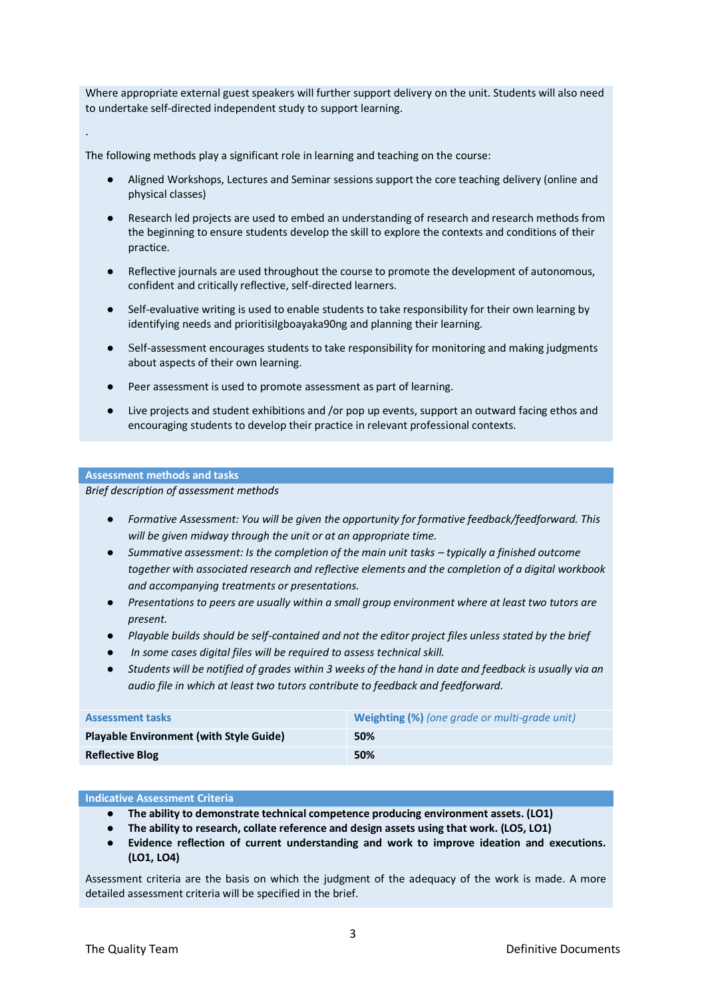Where appropriate external guest speakers will further support delivery on the unit. Students will also need to undertake self‐directed independent study to support learning.

The following methods play a significant role in learning and teaching on the course:

- Aligned Workshops, Lectures and Seminar sessions support the core teaching delivery (online and physical classes)
- Research led projects are used to embed an understanding of research and research methods from the beginning to ensure students develop the skill to explore the contexts and conditions of their practice.
- Reflective journals are used throughout the course to promote the development of autonomous, confident and critically reflective, self‐directed learners.
- Self-evaluative writing is used to enable students to take responsibility for their own learning by identifying needs and prioritisiIgboayaka90ng and planning their learning.
- Self-assessment encourages students to take responsibility for monitoring and making judgments about aspects of their own learning.
- Peer assessment is used to promote assessment as part of learning.
- Live projects and student exhibitions and /or pop up events, support an outward facing ethos and encouraging students to develop their practice in relevant professional contexts.

# **Assessment methods and tasks**

.

*Brief description of assessment methods*

- *Formative Assessment: You will be given the opportunity for formative feedback/feedforward. This will be given midway through the unit or at an appropriate time.*
- *Summative assessment: Is the completion of the main unit tasks typically a finished outcome together with associated research and reflective elements and the completion of a digital workbook and accompanying treatments or presentations.*
- *Presentations to peers are usually within a small group environment where at least two tutors are present.*
- *Playable builds should be self-contained and not the editor project files unless stated by the brief*
- In some cases digital files will be required to assess technical skill.
- *Students will be notified of grades within 3 weeks of the hand in date and feedback is usually via an audio file in which at least two tutors contribute to feedback and feedforward.*

| <b>Assessment tasks</b>                        | <b>Weighting (%)</b> (one grade or multi-grade unit) |
|------------------------------------------------|------------------------------------------------------|
| <b>Playable Environment (with Style Guide)</b> | 50%                                                  |
| <b>Reflective Blog</b>                         | 50%                                                  |

#### **Indicative Assessment Criteria**

- **The ability to demonstrate technical competence producing environment assets. (LO1)**
- **The ability to research, collate reference and design assets using that work. (LO5, LO1)**
- **Evidence reflection of current understanding and work to improve ideation and executions. (LO1, LO4)**

Assessment criteria are the basis on which the judgment of the adequacy of the work is made. A more detailed assessment criteria will be specified in the brief.